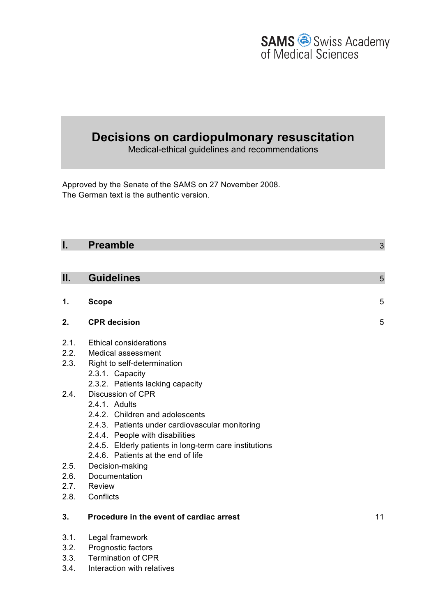

# **Decisions on cardiopulmonary resuscitation**

Medical-ethical guidelines and recommendations

Approved by the Senate of the SAMS on 27 November 2008. The German text is the authentic version.

| <b>Preamble</b>                          | 3                                                                                                                                                                                                                                                                                                                                  |
|------------------------------------------|------------------------------------------------------------------------------------------------------------------------------------------------------------------------------------------------------------------------------------------------------------------------------------------------------------------------------------|
|                                          |                                                                                                                                                                                                                                                                                                                                    |
| <b>Guidelines</b>                        | 5                                                                                                                                                                                                                                                                                                                                  |
|                                          |                                                                                                                                                                                                                                                                                                                                    |
|                                          | 5                                                                                                                                                                                                                                                                                                                                  |
| <b>CPR</b> decision                      | 5                                                                                                                                                                                                                                                                                                                                  |
| Ethical considerations                   |                                                                                                                                                                                                                                                                                                                                    |
| <b>Medical assessment</b>                |                                                                                                                                                                                                                                                                                                                                    |
| 2.3.<br>Right to self-determination      |                                                                                                                                                                                                                                                                                                                                    |
| 2.3.1. Capacity                          |                                                                                                                                                                                                                                                                                                                                    |
|                                          |                                                                                                                                                                                                                                                                                                                                    |
|                                          |                                                                                                                                                                                                                                                                                                                                    |
|                                          |                                                                                                                                                                                                                                                                                                                                    |
|                                          |                                                                                                                                                                                                                                                                                                                                    |
|                                          |                                                                                                                                                                                                                                                                                                                                    |
|                                          |                                                                                                                                                                                                                                                                                                                                    |
|                                          |                                                                                                                                                                                                                                                                                                                                    |
|                                          |                                                                                                                                                                                                                                                                                                                                    |
| Documentation                            |                                                                                                                                                                                                                                                                                                                                    |
| <b>Review</b>                            |                                                                                                                                                                                                                                                                                                                                    |
| 2.8.<br>Conflicts                        |                                                                                                                                                                                                                                                                                                                                    |
| Procedure in the event of cardiac arrest | 11                                                                                                                                                                                                                                                                                                                                 |
| Legal framework                          |                                                                                                                                                                                                                                                                                                                                    |
| Prognostic factors                       |                                                                                                                                                                                                                                                                                                                                    |
|                                          | <b>Scope</b><br>2.3.2. Patients lacking capacity<br>Discussion of CPR<br>2.4.1. Adults<br>2.4.2. Children and adolescents<br>2.4.3. Patients under cardiovascular monitoring<br>2.4.4. People with disabilities<br>2.4.5. Elderly patients in long-term care institutions<br>2.4.6. Patients at the end of life<br>Decision-making |

- 3.3. Termination of CPR
- 3.4. Interaction with relatives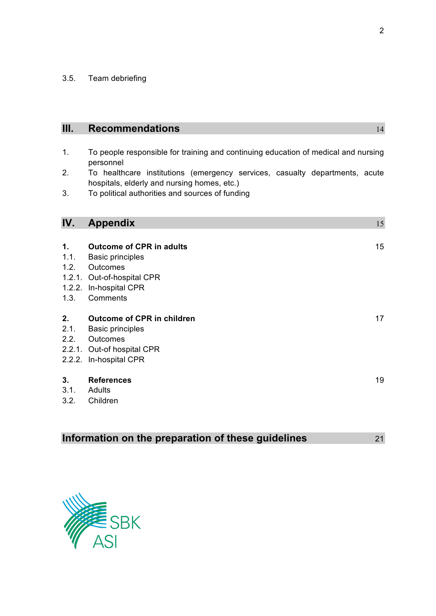3.5. Team debriefing

| Ш.                                     | <b>Recommendations</b>                                                                                                                     | 14 |
|----------------------------------------|--------------------------------------------------------------------------------------------------------------------------------------------|----|
| 1.                                     | To people responsible for training and continuing education of medical and nursing                                                         |    |
|                                        | personnel                                                                                                                                  |    |
| 2.                                     | To healthcare institutions (emergency services, casualty departments, acute<br>hospitals, elderly and nursing homes, etc.)                 |    |
| 3.                                     | To political authorities and sources of funding                                                                                            |    |
| IV.                                    | <b>Appendix</b>                                                                                                                            | 15 |
| $\mathbf{1}$ .<br>1.1.<br>1.2.<br>1.3. | <b>Outcome of CPR in adults</b><br><b>Basic principles</b><br>Outcomes<br>1.2.1. Out-of-hospital CPR<br>1.2.2. In-hospital CPR<br>Comments | 15 |
| 2.<br>2.1.<br>2.2.                     | <b>Outcome of CPR in children</b><br><b>Basic principles</b><br>Outcomes<br>2.2.1. Out-of hospital CPR<br>2.2.2. In-hospital CPR           | 17 |
| 3.<br>3.1.<br>3.2.                     | <b>References</b><br>Adults<br>Children                                                                                                    | 19 |

|  | Information on the preparation of these guidelines |  |  |  | 21 |
|--|----------------------------------------------------|--|--|--|----|
|--|----------------------------------------------------|--|--|--|----|

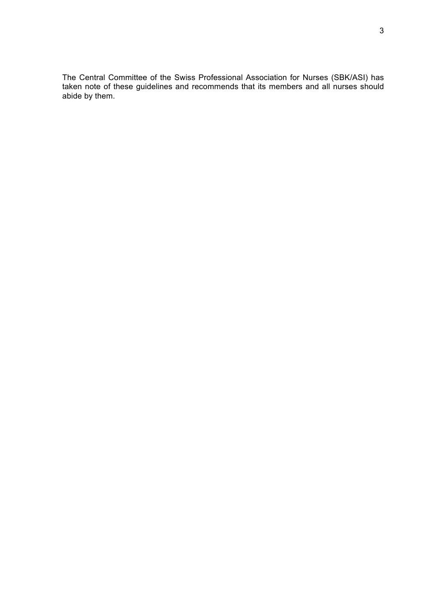The Central Committee of the Swiss Professional Association for Nurses (SBK/ASI) has taken note of these guidelines and recommends that its members and all nurses should abide by them.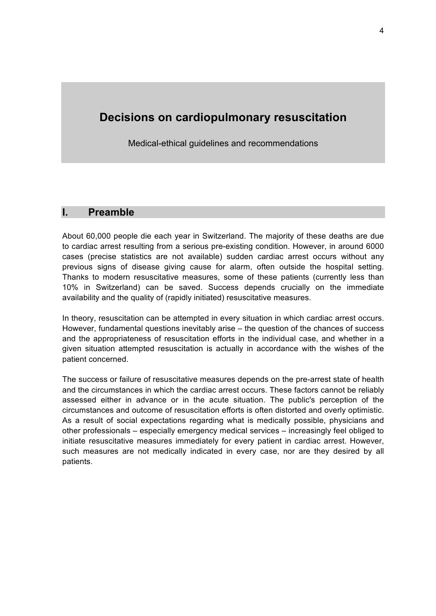## **Decisions on cardiopulmonary resuscitation**

Medical-ethical guidelines and recommendations

## **I. Preamble**

About 60,000 people die each year in Switzerland. The majority of these deaths are due to cardiac arrest resulting from a serious pre-existing condition. However, in around 6000 cases (precise statistics are not available) sudden cardiac arrest occurs without any previous signs of disease giving cause for alarm, often outside the hospital setting. Thanks to modern resuscitative measures, some of these patients (currently less than 10% in Switzerland) can be saved. Success depends crucially on the immediate availability and the quality of (rapidly initiated) resuscitative measures.

In theory, resuscitation can be attempted in every situation in which cardiac arrest occurs. However, fundamental questions inevitably arise – the question of the chances of success and the appropriateness of resuscitation efforts in the individual case, and whether in a given situation attempted resuscitation is actually in accordance with the wishes of the patient concerned.

The success or failure of resuscitative measures depends on the pre-arrest state of health and the circumstances in which the cardiac arrest occurs. These factors cannot be reliably assessed either in advance or in the acute situation. The public's perception of the circumstances and outcome of resuscitation efforts is often distorted and overly optimistic. As a result of social expectations regarding what is medically possible, physicians and other professionals – especially emergency medical services – increasingly feel obliged to initiate resuscitative measures immediately for every patient in cardiac arrest. However, such measures are not medically indicated in every case, nor are they desired by all patients.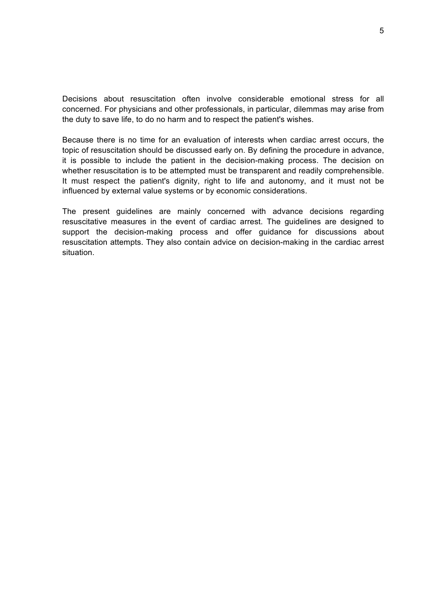Decisions about resuscitation often involve considerable emotional stress for all concerned. For physicians and other professionals, in particular, dilemmas may arise from the duty to save life, to do no harm and to respect the patient's wishes.

Because there is no time for an evaluation of interests when cardiac arrest occurs, the topic of resuscitation should be discussed early on. By defining the procedure in advance, it is possible to include the patient in the decision-making process. The decision on whether resuscitation is to be attempted must be transparent and readily comprehensible. It must respect the patient's dignity, right to life and autonomy, and it must not be influenced by external value systems or by economic considerations.

The present guidelines are mainly concerned with advance decisions regarding resuscitative measures in the event of cardiac arrest. The guidelines are designed to support the decision-making process and offer guidance for discussions about resuscitation attempts. They also contain advice on decision-making in the cardiac arrest situation.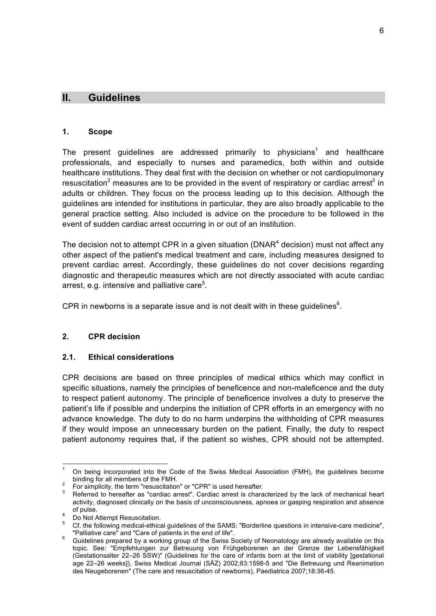## **II. Guidelines**

#### **1. Scope**

The present guidelines are addressed primarily to physicians<sup>1</sup> and healthcare professionals, and especially to nurses and paramedics, both within and outside healthcare institutions. They deal first with the decision on whether or not cardiopulmonary resuscitation<sup>2</sup> measures are to be provided in the event of respiratory or cardiac arrest<sup>3</sup> in adults or children. They focus on the process leading up to this decision. Although the guidelines are intended for institutions in particular, they are also broadly applicable to the general practice setting. Also included is advice on the procedure to be followed in the event of sudden cardiac arrest occurring in or out of an institution.

The decision not to attempt CPR in a given situation (DNAR $4$  decision) must not affect any other aspect of the patient's medical treatment and care, including measures designed to prevent cardiac arrest. Accordingly, these guidelines do not cover decisions regarding diagnostic and therapeutic measures which are not directly associated with acute cardiac arrest, e.g. intensive and palliative care<sup>5</sup>.

CPR in newborns is a separate issue and is not dealt with in these guidelines $<sup>6</sup>$ .</sup>

#### **2. CPR decision**

#### **2.1. Ethical considerations**

CPR decisions are based on three principles of medical ethics which may conflict in specific situations, namely the principles of beneficence and non-maleficence and the duty to respect patient autonomy. The principle of beneficence involves a duty to preserve the patient's life if possible and underpins the initiation of CPR efforts in an emergency with no advance knowledge. The duty to do no harm underpins the withholding of CPR measures if they would impose an unnecessary burden on the patient. Finally, the duty to respect patient autonomy requires that, if the patient so wishes, CPR should not be attempted.

 $1$  On being incorporated into the Code of the Swiss Medical Association (FMH), the guidelines become binding for all members of the FMH.<br><sup>2</sup> For simplicity, the term "resuscitation" or "CPR" is used hereafter.<br><sup>3</sup> Referred to hereafter as "cardiac arrest". Cardiac arrest is characterized by the lack of mechanical heart

activity, diagnosed clinically on the basis of unconsciousness, apnoea or gasping respiration and absence

of pulse.<br>
4 Do Not Attempt Resuscitation.<br>
5 Cf. the following medical-ethical guidelines of the SAMS: "Borderline questions in intensive-care medicine",<br>
"Palliative care" and "Care of patients in the end of life".

Guidelines prepared by a working group of the Swiss Society of Neonatology are already available on this topic. See: "Empfehlungen zur Betreuung von Frühgeborenen an der Grenze der Lebensfähigkeit (Gestationsalter 22–26 SSW)" (Guidelines for the care of infants born at the limit of viability [gestational age 22–26 weeks]), Swiss Medical Journal (SÄZ) 2002;83:1598-5 and "Die Betreuung und Reanimation des Neugeborenen" (The care and resuscitation of newborns), Paediatrica 2007;18:36-45.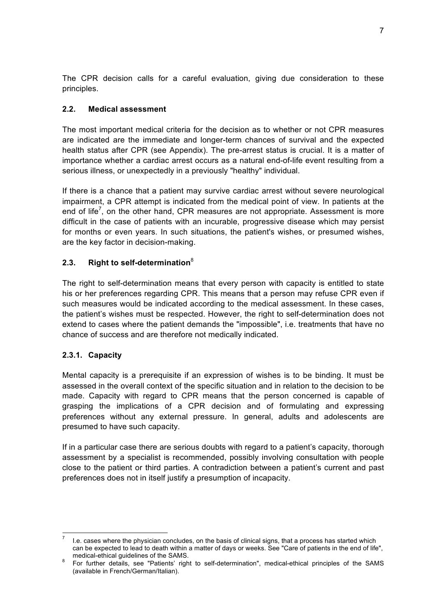The CPR decision calls for a careful evaluation, giving due consideration to these principles.

## **2.2. Medical assessment**

The most important medical criteria for the decision as to whether or not CPR measures are indicated are the immediate and longer-term chances of survival and the expected health status after CPR (see Appendix). The pre-arrest status is crucial. It is a matter of importance whether a cardiac arrest occurs as a natural end-of-life event resulting from a serious illness, or unexpectedly in a previously "healthy" individual.

If there is a chance that a patient may survive cardiac arrest without severe neurological impairment, a CPR attempt is indicated from the medical point of view. In patients at the end of life<sup>7</sup>, on the other hand, CPR measures are not appropriate. Assessment is more difficult in the case of patients with an incurable, progressive disease which may persist for months or even years. In such situations, the patient's wishes, or presumed wishes, are the key factor in decision-making.

## **2.3. Right to self-determination**<sup>8</sup>

The right to self-determination means that every person with capacity is entitled to state his or her preferences regarding CPR. This means that a person may refuse CPR even if such measures would be indicated according to the medical assessment. In these cases, the patient's wishes must be respected. However, the right to self-determination does not extend to cases where the patient demands the "impossible", i.e. treatments that have no chance of success and are therefore not medically indicated.

## **2.3.1. Capacity**

Mental capacity is a prerequisite if an expression of wishes is to be binding. It must be assessed in the overall context of the specific situation and in relation to the decision to be made. Capacity with regard to CPR means that the person concerned is capable of grasping the implications of a CPR decision and of formulating and expressing preferences without any external pressure. In general, adults and adolescents are presumed to have such capacity.

If in a particular case there are serious doubts with regard to a patient's capacity, thorough assessment by a specialist is recommended, possibly involving consultation with people close to the patient or third parties. A contradiction between a patient's current and past preferences does not in itself justify a presumption of incapacity.

I.e. cases where the physician concludes, on the basis of clinical signs, that a process has started which can be expected to lead to death within a matter of days or weeks. See "Care of patients in the end of life",

medical-ethical guidelines of the SAMS.<br><sup>8</sup> For further details, see "Patients' right to self-determination", medical-ethical principles of the SAMS (available in French/German/Italian).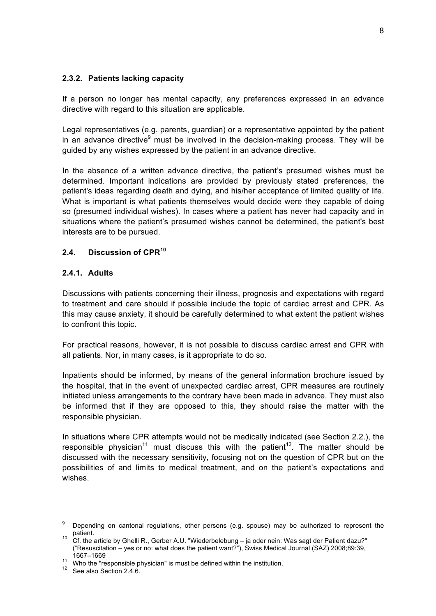#### **2.3.2. Patients lacking capacity**

If a person no longer has mental capacity, any preferences expressed in an advance directive with regard to this situation are applicable.

Legal representatives (e.g. parents, guardian) or a representative appointed by the patient in an advance directive $9$  must be involved in the decision-making process. They will be guided by any wishes expressed by the patient in an advance directive.

In the absence of a written advance directive, the patient's presumed wishes must be determined. Important indications are provided by previously stated preferences, the patient's ideas regarding death and dying, and his/her acceptance of limited quality of life. What is important is what patients themselves would decide were they capable of doing so (presumed individual wishes). In cases where a patient has never had capacity and in situations where the patient's presumed wishes cannot be determined, the patient's best interests are to be pursued.

#### **2.4. Discussion of CPR<sup>10</sup>**

#### **2.4.1. Adults**

Discussions with patients concerning their illness, prognosis and expectations with regard to treatment and care should if possible include the topic of cardiac arrest and CPR. As this may cause anxiety, it should be carefully determined to what extent the patient wishes to confront this topic.

For practical reasons, however, it is not possible to discuss cardiac arrest and CPR with all patients. Nor, in many cases, is it appropriate to do so.

Inpatients should be informed, by means of the general information brochure issued by the hospital, that in the event of unexpected cardiac arrest, CPR measures are routinely initiated unless arrangements to the contrary have been made in advance. They must also be informed that if they are opposed to this, they should raise the matter with the responsible physician.

In situations where CPR attempts would not be medically indicated (see Section 2.2.), the responsible physician<sup>11</sup> must discuss this with the patient<sup>12</sup>. The matter should be discussed with the necessary sensitivity, focusing not on the question of CPR but on the possibilities of and limits to medical treatment, and on the patient's expectations and wishes.

<sup>&</sup>lt;sup>9</sup> Depending on cantonal regulations, other persons (e.g. spouse) may be authorized to represent the patient.<br>10 Cf. the article by Ghelli R., Gerber A.U. "Wiederbelebung – ja oder nein: Was sagt der Patient dazu?"

<sup>(&</sup>quot;Resuscitation – yes or no: what does the patient want?"), Swiss Medical Journal (SÄZ) 2008;89:39,

<sup>1667–1669 11</sup> Who the "responsible physician" is must be defined within the institution.<br><sup>12</sup> See also Section 2.4.6.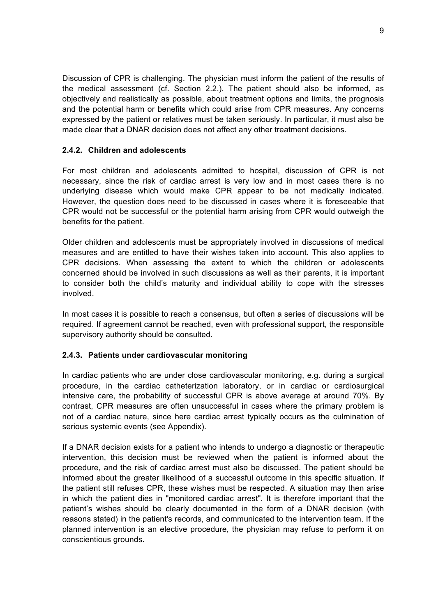Discussion of CPR is challenging. The physician must inform the patient of the results of the medical assessment (cf. Section 2.2.). The patient should also be informed, as objectively and realistically as possible, about treatment options and limits, the prognosis and the potential harm or benefits which could arise from CPR measures. Any concerns expressed by the patient or relatives must be taken seriously. In particular, it must also be made clear that a DNAR decision does not affect any other treatment decisions.

#### **2.4.2. Children and adolescents**

For most children and adolescents admitted to hospital, discussion of CPR is not necessary, since the risk of cardiac arrest is very low and in most cases there is no underlying disease which would make CPR appear to be not medically indicated. However, the question does need to be discussed in cases where it is foreseeable that CPR would not be successful or the potential harm arising from CPR would outweigh the benefits for the patient.

Older children and adolescents must be appropriately involved in discussions of medical measures and are entitled to have their wishes taken into account. This also applies to CPR decisions. When assessing the extent to which the children or adolescents concerned should be involved in such discussions as well as their parents, it is important to consider both the child's maturity and individual ability to cope with the stresses involved.

In most cases it is possible to reach a consensus, but often a series of discussions will be required. If agreement cannot be reached, even with professional support, the responsible supervisory authority should be consulted.

#### **2.4.3. Patients under cardiovascular monitoring**

In cardiac patients who are under close cardiovascular monitoring, e.g. during a surgical procedure, in the cardiac catheterization laboratory, or in cardiac or cardiosurgical intensive care, the probability of successful CPR is above average at around 70%. By contrast, CPR measures are often unsuccessful in cases where the primary problem is not of a cardiac nature, since here cardiac arrest typically occurs as the culmination of serious systemic events (see Appendix).

If a DNAR decision exists for a patient who intends to undergo a diagnostic or therapeutic intervention, this decision must be reviewed when the patient is informed about the procedure, and the risk of cardiac arrest must also be discussed. The patient should be informed about the greater likelihood of a successful outcome in this specific situation. If the patient still refuses CPR, these wishes must be respected. A situation may then arise in which the patient dies in "monitored cardiac arrest". It is therefore important that the patient's wishes should be clearly documented in the form of a DNAR decision (with reasons stated) in the patient's records, and communicated to the intervention team. If the planned intervention is an elective procedure, the physician may refuse to perform it on conscientious grounds.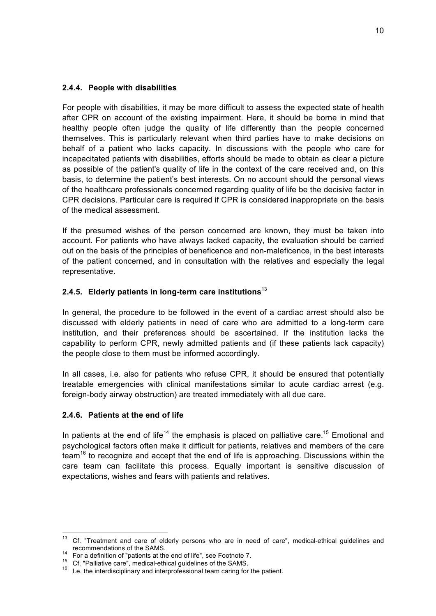#### **2.4.4. People with disabilities**

For people with disabilities, it may be more difficult to assess the expected state of health after CPR on account of the existing impairment. Here, it should be borne in mind that healthy people often judge the quality of life differently than the people concerned themselves. This is particularly relevant when third parties have to make decisions on behalf of a patient who lacks capacity. In discussions with the people who care for incapacitated patients with disabilities, efforts should be made to obtain as clear a picture as possible of the patient's quality of life in the context of the care received and, on this basis, to determine the patient's best interests. On no account should the personal views of the healthcare professionals concerned regarding quality of life be the decisive factor in CPR decisions. Particular care is required if CPR is considered inappropriate on the basis of the medical assessment.

If the presumed wishes of the person concerned are known, they must be taken into account. For patients who have always lacked capacity, the evaluation should be carried out on the basis of the principles of beneficence and non-maleficence, in the best interests of the patient concerned, and in consultation with the relatives and especially the legal representative.

## **2.4.5. Elderly patients in long-term care institutions**<sup>13</sup>

In general, the procedure to be followed in the event of a cardiac arrest should also be discussed with elderly patients in need of care who are admitted to a long-term care institution, and their preferences should be ascertained. If the institution lacks the capability to perform CPR, newly admitted patients and (if these patients lack capacity) the people close to them must be informed accordingly.

In all cases, i.e. also for patients who refuse CPR, it should be ensured that potentially treatable emergencies with clinical manifestations similar to acute cardiac arrest (e.g. foreign-body airway obstruction) are treated immediately with all due care.

#### **2.4.6. Patients at the end of life**

In patients at the end of life<sup>14</sup> the emphasis is placed on palliative care.<sup>15</sup> Emotional and psychological factors often make it difficult for patients, relatives and members of the care team<sup>16</sup> to recognize and accept that the end of life is approaching. Discussions within the care team can facilitate this process. Equally important is sensitive discussion of expectations, wishes and fears with patients and relatives.

<sup>&</sup>lt;sup>13</sup> Cf. "Treatment and care of elderly persons who are in need of care", medical-ethical guidelines and recommendations of the SAMS.<br><sup>14</sup> For a definition of "patients at the end of life", see Footnote 7.<br><sup>15</sup> Cf. "Palliative care", medical-ethical guidelines of the SAMS.<br><sup>16</sup> I.e. the interdisciplinary and interprofessional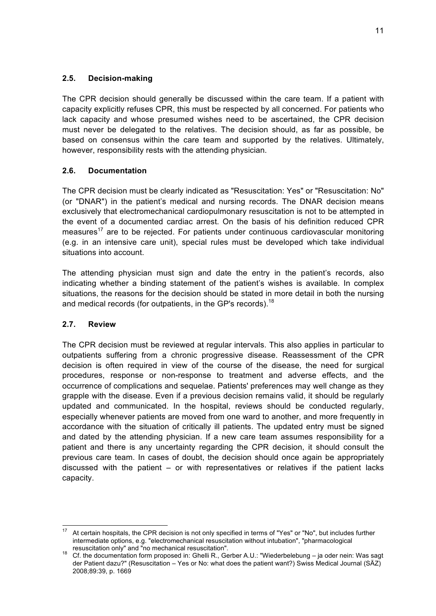#### **2.5. Decision-making**

The CPR decision should generally be discussed within the care team. If a patient with capacity explicitly refuses CPR, this must be respected by all concerned. For patients who lack capacity and whose presumed wishes need to be ascertained, the CPR decision must never be delegated to the relatives. The decision should, as far as possible, be based on consensus within the care team and supported by the relatives. Ultimately, however, responsibility rests with the attending physician.

#### **2.6. Documentation**

The CPR decision must be clearly indicated as "Resuscitation: Yes" or "Resuscitation: No" (or "DNAR") in the patient's medical and nursing records. The DNAR decision means exclusively that electromechanical cardiopulmonary resuscitation is not to be attempted in the event of a documented cardiac arrest. On the basis of his definition reduced CPR measures<sup>17</sup> are to be rejected. For patients under continuous cardiovascular monitoring (e.g. in an intensive care unit), special rules must be developed which take individual situations into account.

The attending physician must sign and date the entry in the patient's records, also indicating whether a binding statement of the patient's wishes is available. In complex situations, the reasons for the decision should be stated in more detail in both the nursing and medical records (for outpatients, in the GP's records).<sup>18</sup>

#### **2.7. Review**

The CPR decision must be reviewed at regular intervals. This also applies in particular to outpatients suffering from a chronic progressive disease. Reassessment of the CPR decision is often required in view of the course of the disease, the need for surgical procedures, response or non-response to treatment and adverse effects, and the occurrence of complications and sequelae. Patients' preferences may well change as they grapple with the disease. Even if a previous decision remains valid, it should be regularly updated and communicated. In the hospital, reviews should be conducted regularly, especially whenever patients are moved from one ward to another, and more frequently in accordance with the situation of critically ill patients. The updated entry must be signed and dated by the attending physician. If a new care team assumes responsibility for a patient and there is any uncertainty regarding the CPR decision, it should consult the previous care team. In cases of doubt, the decision should once again be appropriately discussed with the patient – or with representatives or relatives if the patient lacks capacity.

<sup>&</sup>lt;sup>17</sup> At certain hospitals, the CPR decision is not only specified in terms of "Yes" or "No", but includes further intermediate options, e.g. "electromechanical resuscitation without intubation", "pharmacological

resuscitation only" and "no mechanical resuscitation". 18 Cf. the documentation form proposed in: Ghelli R., Gerber A.U.: "Wiederbelebung – ja oder nein: Was sagt der Patient dazu?" (Resuscitation – Yes or No: what does the patient want?) Swiss Medical Journal (SÄZ) 2008;89:39, p. 1669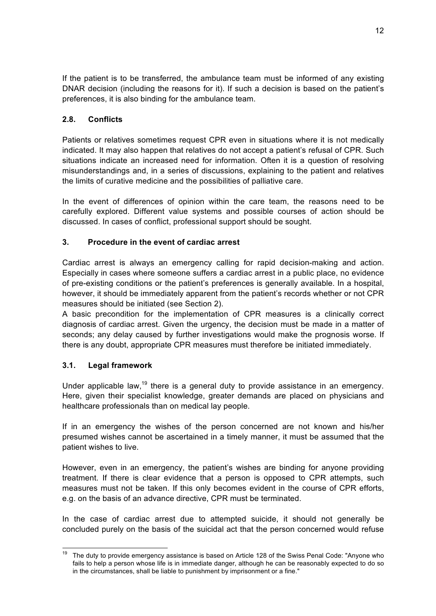If the patient is to be transferred, the ambulance team must be informed of any existing DNAR decision (including the reasons for it). If such a decision is based on the patient's preferences, it is also binding for the ambulance team.

## **2.8. Conflicts**

Patients or relatives sometimes request CPR even in situations where it is not medically indicated. It may also happen that relatives do not accept a patient's refusal of CPR. Such situations indicate an increased need for information. Often it is a question of resolving misunderstandings and, in a series of discussions, explaining to the patient and relatives the limits of curative medicine and the possibilities of palliative care.

In the event of differences of opinion within the care team, the reasons need to be carefully explored. Different value systems and possible courses of action should be discussed. In cases of conflict, professional support should be sought.

## **3. Procedure in the event of cardiac arrest**

Cardiac arrest is always an emergency calling for rapid decision-making and action. Especially in cases where someone suffers a cardiac arrest in a public place, no evidence of pre-existing conditions or the patient's preferences is generally available. In a hospital, however, it should be immediately apparent from the patient's records whether or not CPR measures should be initiated (see Section 2).

A basic precondition for the implementation of CPR measures is a clinically correct diagnosis of cardiac arrest. Given the urgency, the decision must be made in a matter of seconds; any delay caused by further investigations would make the prognosis worse. If there is any doubt, appropriate CPR measures must therefore be initiated immediately.

## **3.1. Legal framework**

Under applicable law,<sup>19</sup> there is a general duty to provide assistance in an emergency. Here, given their specialist knowledge, greater demands are placed on physicians and healthcare professionals than on medical lay people.

If in an emergency the wishes of the person concerned are not known and his/her presumed wishes cannot be ascertained in a timely manner, it must be assumed that the patient wishes to live.

However, even in an emergency, the patient's wishes are binding for anyone providing treatment. If there is clear evidence that a person is opposed to CPR attempts, such measures must not be taken. If this only becomes evident in the course of CPR efforts, e.g. on the basis of an advance directive, CPR must be terminated.

In the case of cardiac arrest due to attempted suicide, it should not generally be concluded purely on the basis of the suicidal act that the person concerned would refuse

The duty to provide emergency assistance is based on Article 128 of the Swiss Penal Code: "Anyone who fails to help a person whose life is in immediate danger, although he can be reasonably expected to do so in the circumstances, shall be liable to punishment by imprisonment or a fine."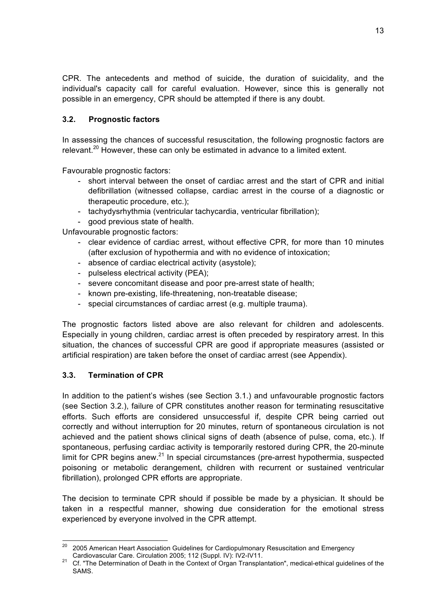CPR. The antecedents and method of suicide, the duration of suicidality, and the individual's capacity call for careful evaluation. However, since this is generally not possible in an emergency, CPR should be attempted if there is any doubt.

## **3.2. Prognostic factors**

In assessing the chances of successful resuscitation, the following prognostic factors are relevant.<sup>20</sup> However, these can only be estimated in advance to a limited extent.

Favourable prognostic factors:

- short interval between the onset of cardiac arrest and the start of CPR and initial defibrillation (witnessed collapse, cardiac arrest in the course of a diagnostic or therapeutic procedure, etc.);
- tachydysrhythmia (ventricular tachycardia, ventricular fibrillation);
- good previous state of health.

Unfavourable prognostic factors:

- clear evidence of cardiac arrest, without effective CPR, for more than 10 minutes (after exclusion of hypothermia and with no evidence of intoxication;
- absence of cardiac electrical activity (asystole);
- pulseless electrical activity (PEA);
- severe concomitant disease and poor pre-arrest state of health;
- known pre-existing, life-threatening, non-treatable disease;
- special circumstances of cardiac arrest (e.g. multiple trauma).

The prognostic factors listed above are also relevant for children and adolescents. Especially in young children, cardiac arrest is often preceded by respiratory arrest. In this situation, the chances of successful CPR are good if appropriate measures (assisted or artificial respiration) are taken before the onset of cardiac arrest (see Appendix).

## **3.3. Termination of CPR**

In addition to the patient's wishes (see Section 3.1.) and unfavourable prognostic factors (see Section 3.2.), failure of CPR constitutes another reason for terminating resuscitative efforts. Such efforts are considered unsuccessful if, despite CPR being carried out correctly and without interruption for 20 minutes, return of spontaneous circulation is not achieved and the patient shows clinical signs of death (absence of pulse, coma, etc.). If spontaneous, perfusing cardiac activity is temporarily restored during CPR, the 20-minute limit for CPR begins anew. $^{21}$  In special circumstances (pre-arrest hypothermia, suspected poisoning or metabolic derangement, children with recurrent or sustained ventricular fibrillation), prolonged CPR efforts are appropriate.

The decision to terminate CPR should if possible be made by a physician. It should be taken in a respectful manner, showing due consideration for the emotional stress experienced by everyone involved in the CPR attempt.

<sup>&</sup>lt;sup>20</sup> 2005 American Heart Association Guidelines for Cardiopulmonary Resuscitation and Emergency<br>Cardiovascular Care. Circulation 2005; 112 (Suppl. IV): IV2-IV11.

<sup>&</sup>lt;sup>21</sup> Cf. "The Determination of Death in the Context of Organ Transplantation", medical-ethical guidelines of the SAMS.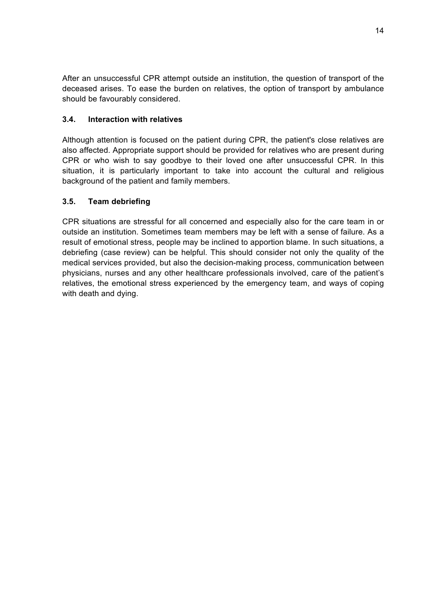After an unsuccessful CPR attempt outside an institution, the question of transport of the deceased arises. To ease the burden on relatives, the option of transport by ambulance should be favourably considered.

## **3.4. Interaction with relatives**

Although attention is focused on the patient during CPR, the patient's close relatives are also affected. Appropriate support should be provided for relatives who are present during CPR or who wish to say goodbye to their loved one after unsuccessful CPR. In this situation, it is particularly important to take into account the cultural and religious background of the patient and family members.

## **3.5. Team debriefing**

CPR situations are stressful for all concerned and especially also for the care team in or outside an institution. Sometimes team members may be left with a sense of failure. As a result of emotional stress, people may be inclined to apportion blame. In such situations, a debriefing (case review) can be helpful. This should consider not only the quality of the medical services provided, but also the decision-making process, communication between physicians, nurses and any other healthcare professionals involved, care of the patient's relatives, the emotional stress experienced by the emergency team, and ways of coping with death and dying.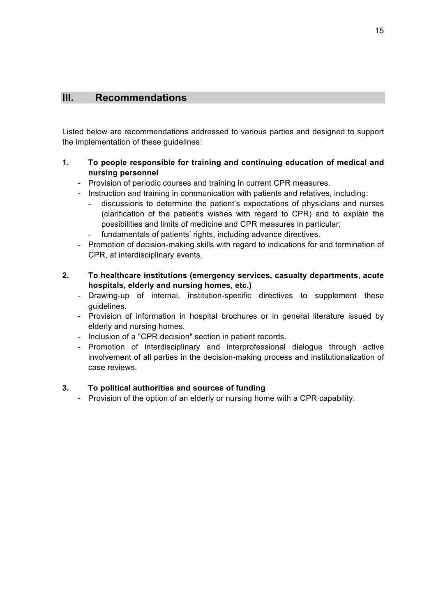## **III. Recommendations**

Listed below are recommendations addressed to various parties and designed to support the implementation of these guidelines:

## **1. To people responsible for training and continuing education of medical and nursing personnel**

- Provision of periodic courses and training in current CPR measures.
- Instruction and training in communication with patients and relatives, including:
	- discussions to determine the patient's expectations of physicians and nurses (clarification of the patient's wishes with regard to CPR) and to explain the possibilities and limits of medicine and CPR measures in particular;
	- fundamentals of patients' rights, including advance directives.
- Promotion of decision-making skills with regard to indications for and termination of CPR, at interdisciplinary events.
- **2. To healthcare institutions (emergency services, casualty departments, acute hospitals, elderly and nursing homes, etc.)**
	- Drawing-up of internal, institution-specific directives to supplement these guidelines.
	- Provision of information in hospital brochures or in general literature issued by elderly and nursing homes.
	- Inclusion of a "CPR decision" section in patient records.
	- Promotion of interdisciplinary and interprofessional dialogue through active involvement of all parties in the decision-making process and institutionalization of case reviews.

## **3. To political authorities and sources of funding**

- Provision of the option of an elderly or nursing home with a CPR capability.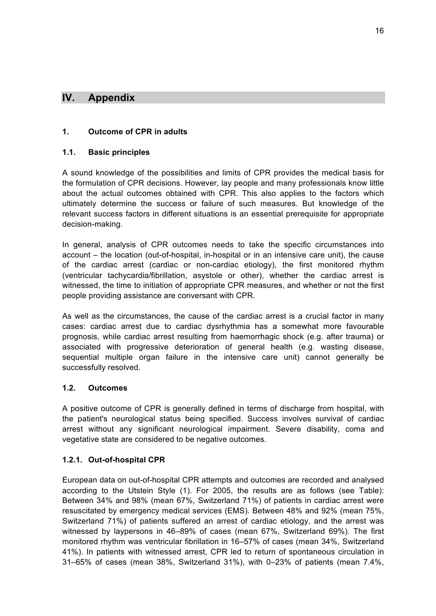## **IV. Appendix**

#### **1. Outcome of CPR in adults**

#### **1.1. Basic principles**

A sound knowledge of the possibilities and limits of CPR provides the medical basis for the formulation of CPR decisions. However, lay people and many professionals know little about the actual outcomes obtained with CPR. This also applies to the factors which ultimately determine the success or failure of such measures. But knowledge of the relevant success factors in different situations is an essential prerequisite for appropriate decision-making.

In general, analysis of CPR outcomes needs to take the specific circumstances into account – the location (out-of-hospital, in-hospital or in an intensive care unit), the cause of the cardiac arrest (cardiac or non-cardiac etiology), the first monitored rhythm (ventricular tachycardia/fibrillation, asystole or other), whether the cardiac arrest is witnessed, the time to initiation of appropriate CPR measures, and whether or not the first people providing assistance are conversant with CPR.

As well as the circumstances, the cause of the cardiac arrest is a crucial factor in many cases: cardiac arrest due to cardiac dysrhythmia has a somewhat more favourable prognosis, while cardiac arrest resulting from haemorrhagic shock (e.g. after trauma) or associated with progressive deterioration of general health (e.g. wasting disease, sequential multiple organ failure in the intensive care unit) cannot generally be successfully resolved.

#### **1.2. Outcomes**

A positive outcome of CPR is generally defined in terms of discharge from hospital, with the patient's neurological status being specified. Success involves survival of cardiac arrest without any significant neurological impairment. Severe disability, coma and vegetative state are considered to be negative outcomes.

#### **1.2.1. Out-of-hospital CPR**

European data on out-of-hospital CPR attempts and outcomes are recorded and analysed according to the Utstein Style (1). For 2005, the results are as follows (see Table): Between 34% and 98% (mean 67%, Switzerland 71%) of patients in cardiac arrest were resuscitated by emergency medical services (EMS). Between 48% and 92% (mean 75%, Switzerland 71%) of patients suffered an arrest of cardiac etiology, and the arrest was witnessed by laypersons in 46–89% of cases (mean 67%, Switzerland 69%). The first monitored rhythm was ventricular fibrillation in 16–57% of cases (mean 34%, Switzerland 41%). In patients with witnessed arrest, CPR led to return of spontaneous circulation in 31–65% of cases (mean 38%, Switzerland 31%), with 0–23% of patients (mean 7.4%,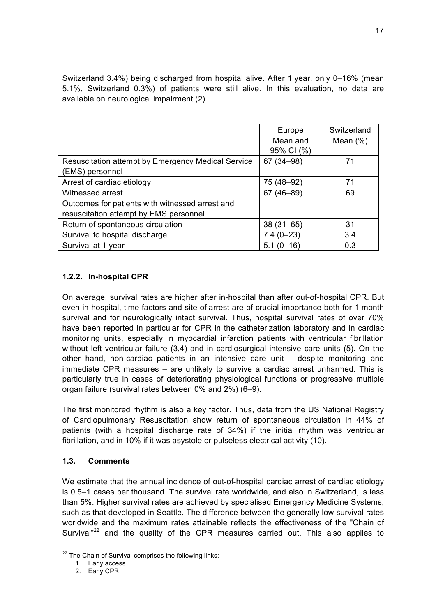Switzerland 3.4%) being discharged from hospital alive. After 1 year, only 0–16% (mean 5.1%, Switzerland 0.3%) of patients were still alive. In this evaluation, no data are available on neurological impairment (2).

|                                                    | Europe            | Switzerland |
|----------------------------------------------------|-------------------|-------------|
|                                                    | Mean and          | Mean $(\%)$ |
|                                                    | 95% CI (%)        |             |
| Resuscitation attempt by Emergency Medical Service | 67 (34-98)        | 71          |
| (EMS) personnel                                    |                   |             |
| Arrest of cardiac etiology                         | 75 (48–92)        | 71          |
| Witnessed arrest                                   | $(46 - 89)$<br>67 | 69          |
| Outcomes for patients with witnessed arrest and    |                   |             |
| resuscitation attempt by EMS personnel             |                   |             |
| Return of spontaneous circulation                  | $38(31 - 65)$     | 31          |
| Survival to hospital discharge                     | $7.4(0-23)$       | 3.4         |
| Survival at 1 year                                 | $5.1(0 - 16)$     | 0.3         |

## **1.2.2. In-hospital CPR**

On average, survival rates are higher after in-hospital than after out-of-hospital CPR. But even in hospital, time factors and site of arrest are of crucial importance both for 1-month survival and for neurologically intact survival. Thus, hospital survival rates of over 70% have been reported in particular for CPR in the catheterization laboratory and in cardiac monitoring units, especially in myocardial infarction patients with ventricular fibrillation without left ventricular failure (3,4) and in cardiosurgical intensive care units (5). On the other hand, non-cardiac patients in an intensive care unit – despite monitoring and immediate CPR measures – are unlikely to survive a cardiac arrest unharmed. This is particularly true in cases of deteriorating physiological functions or progressive multiple organ failure (survival rates between 0% and 2%) (6–9).

The first monitored rhythm is also a key factor. Thus, data from the US National Registry of Cardiopulmonary Resuscitation show return of spontaneous circulation in 44% of patients (with a hospital discharge rate of 34%) if the initial rhythm was ventricular fibrillation, and in 10% if it was asystole or pulseless electrical activity (10).

## **1.3. Comments**

We estimate that the annual incidence of out-of-hospital cardiac arrest of cardiac etiology is 0.5–1 cases per thousand. The survival rate worldwide, and also in Switzerland, is less than 5%. Higher survival rates are achieved by specialised Emergency Medicine Systems, such as that developed in Seattle. The difference between the generally low survival rates worldwide and the maximum rates attainable reflects the effectiveness of the "Chain of Survival<sup>"22</sup> and the quality of the CPR measures carried out. This also applies to

 $22$  The Chain of Survival comprises the following links:

<sup>1.</sup> Early access

<sup>2.</sup> Early CPR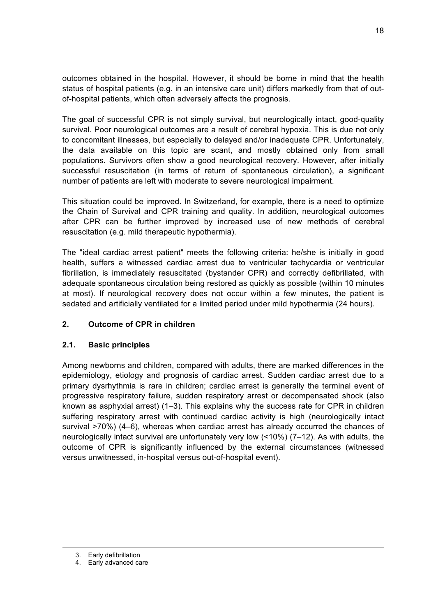outcomes obtained in the hospital. However, it should be borne in mind that the health status of hospital patients (e.g. in an intensive care unit) differs markedly from that of outof-hospital patients, which often adversely affects the prognosis.

The goal of successful CPR is not simply survival, but neurologically intact, good-quality survival. Poor neurological outcomes are a result of cerebral hypoxia. This is due not only to concomitant illnesses, but especially to delayed and/or inadequate CPR. Unfortunately, the data available on this topic are scant, and mostly obtained only from small populations. Survivors often show a good neurological recovery. However, after initially successful resuscitation (in terms of return of spontaneous circulation), a significant number of patients are left with moderate to severe neurological impairment.

This situation could be improved. In Switzerland, for example, there is a need to optimize the Chain of Survival and CPR training and quality. In addition, neurological outcomes after CPR can be further improved by increased use of new methods of cerebral resuscitation (e.g. mild therapeutic hypothermia).

The "ideal cardiac arrest patient" meets the following criteria: he/she is initially in good health, suffers a witnessed cardiac arrest due to ventricular tachycardia or ventricular fibrillation, is immediately resuscitated (bystander CPR) and correctly defibrillated, with adequate spontaneous circulation being restored as quickly as possible (within 10 minutes at most). If neurological recovery does not occur within a few minutes, the patient is sedated and artificially ventilated for a limited period under mild hypothermia (24 hours).

## **2. Outcome of CPR in children**

## **2.1. Basic principles**

Among newborns and children, compared with adults, there are marked differences in the epidemiology, etiology and prognosis of cardiac arrest. Sudden cardiac arrest due to a primary dysrhythmia is rare in children; cardiac arrest is generally the terminal event of progressive respiratory failure, sudden respiratory arrest or decompensated shock (also known as asphyxial arrest) (1–3). This explains why the success rate for CPR in children suffering respiratory arrest with continued cardiac activity is high (neurologically intact survival >70%) (4–6), whereas when cardiac arrest has already occurred the chances of neurologically intact survival are unfortunately very low (<10%) (7–12). As with adults, the outcome of CPR is significantly influenced by the external circumstances (witnessed versus unwitnessed, in-hospital versus out-of-hospital event).

1

<sup>3.</sup> Early defibrillation

<sup>4.</sup> Early advanced care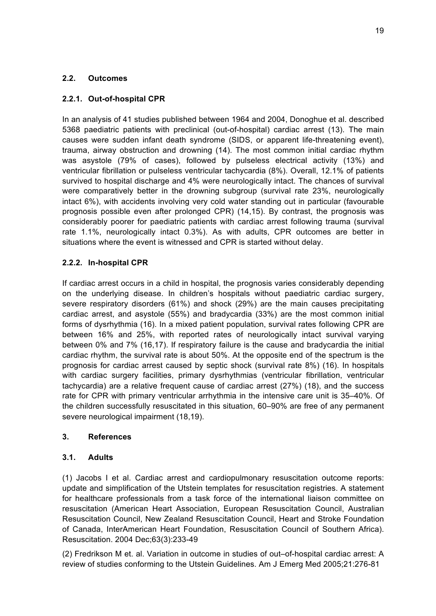## **2.2. Outcomes**

## **2.2.1. Out-of-hospital CPR**

In an analysis of 41 studies published between 1964 and 2004, Donoghue et al. described 5368 paediatric patients with preclinical (out-of-hospital) cardiac arrest (13). The main causes were sudden infant death syndrome (SIDS, or apparent life-threatening event), trauma, airway obstruction and drowning (14). The most common initial cardiac rhythm was asystole (79% of cases), followed by pulseless electrical activity (13%) and ventricular fibrillation or pulseless ventricular tachycardia (8%). Overall, 12.1% of patients survived to hospital discharge and 4% were neurologically intact. The chances of survival were comparatively better in the drowning subgroup (survival rate 23%, neurologically intact 6%), with accidents involving very cold water standing out in particular (favourable prognosis possible even after prolonged CPR) (14,15). By contrast, the prognosis was considerably poorer for paediatric patients with cardiac arrest following trauma (survival rate 1.1%, neurologically intact 0.3%). As with adults, CPR outcomes are better in situations where the event is witnessed and CPR is started without delay.

## **2.2.2. In-hospital CPR**

If cardiac arrest occurs in a child in hospital, the prognosis varies considerably depending on the underlying disease. In children's hospitals without paediatric cardiac surgery, severe respiratory disorders (61%) and shock (29%) are the main causes precipitating cardiac arrest, and asystole (55%) and bradycardia (33%) are the most common initial forms of dysrhythmia (16). In a mixed patient population, survival rates following CPR are between 16% and 25%, with reported rates of neurologically intact survival varying between 0% and 7% (16,17). If respiratory failure is the cause and bradycardia the initial cardiac rhythm, the survival rate is about 50%. At the opposite end of the spectrum is the prognosis for cardiac arrest caused by septic shock (survival rate 8%) (16). In hospitals with cardiac surgery facilities, primary dysrhythmias (ventricular fibrillation, ventricular tachycardia) are a relative frequent cause of cardiac arrest (27%) (18), and the success rate for CPR with primary ventricular arrhythmia in the intensive care unit is 35–40%. Of the children successfully resuscitated in this situation, 60–90% are free of any permanent severe neurological impairment (18,19).

## **3. References**

## **3.1. Adults**

(1) Jacobs I et al. Cardiac arrest and cardiopulmonary resuscitation outcome reports: update and simplification of the Utstein templates for resuscitation registries. A statement for healthcare professionals from a task force of the international liaison committee on resuscitation (American Heart Association, European Resuscitation Council, Australian Resuscitation Council, New Zealand Resuscitation Council, Heart and Stroke Foundation of Canada, InterAmerican Heart Foundation, Resuscitation Council of Southern Africa). Resuscitation. 2004 Dec;63(3):233-49

(2) Fredrikson M et. al. Variation in outcome in studies of out–of-hospital cardiac arrest: A review of studies conforming to the Utstein Guidelines. Am J Emerg Med 2005;21:276-81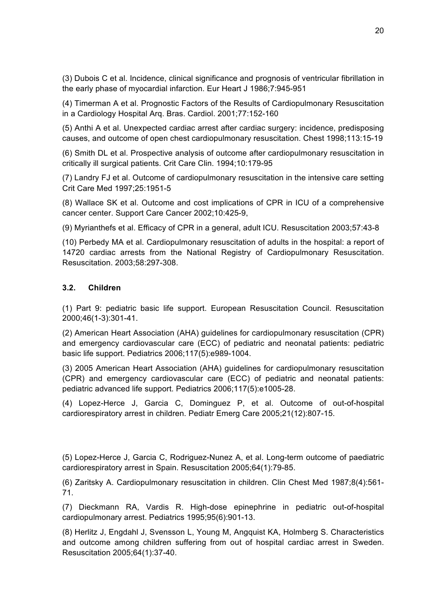(3) Dubois C et al. Incidence, clinical significance and prognosis of ventricular fibrillation in the early phase of myocardial infarction. Eur Heart J 1986;7:945-951

(4) Timerman A et al. Prognostic Factors of the Results of Cardiopulmonary Resuscitation in a Cardiology Hospital Arq. Bras. Cardiol. 2001;77:152-160

(5) Anthi A et al. Unexpected cardiac arrest after cardiac surgery: incidence, predisposing causes, and outcome of open chest cardiopulmonary resuscitation. Chest 1998;113:15-19

(6) Smith DL et al. Prospective analysis of outcome after cardiopulmonary resuscitation in critically ill surgical patients. Crit Care Clin. 1994;10:179-95

(7) Landry FJ et al. Outcome of cardiopulmonary resuscitation in the intensive care setting Crit Care Med 1997;25:1951-5

(8) Wallace SK et al. Outcome and cost implications of CPR in ICU of a comprehensive cancer center. Support Care Cancer 2002;10:425-9,

(9) Myrianthefs et al. Efficacy of CPR in a general, adult ICU. Resuscitation 2003;57:43-8

(10) Perbedy MA et al. Cardiopulmonary resuscitation of adults in the hospital: a report of 14720 cardiac arrests from the National Registry of Cardiopulmonary Resuscitation. Resuscitation. 2003;58:297-308.

#### **3.2. Children**

(1) Part 9: pediatric basic life support. European Resuscitation Council. Resuscitation 2000;46(1-3):301-41.

(2) American Heart Association (AHA) guidelines for cardiopulmonary resuscitation (CPR) and emergency cardiovascular care (ECC) of pediatric and neonatal patients: pediatric basic life support. Pediatrics 2006;117(5):e989-1004.

(3) 2005 American Heart Association (AHA) guidelines for cardiopulmonary resuscitation (CPR) and emergency cardiovascular care (ECC) of pediatric and neonatal patients: pediatric advanced life support. Pediatrics 2006;117(5):e1005-28.

(4) Lopez-Herce J, Garcia C, Dominguez P, et al. Outcome of out-of-hospital cardiorespiratory arrest in children. Pediatr Emerg Care 2005;21(12):807-15.

(5) Lopez-Herce J, Garcia C, Rodriguez-Nunez A, et al. Long-term outcome of paediatric cardiorespiratory arrest in Spain. Resuscitation 2005;64(1):79-85.

(6) Zaritsky A. Cardiopulmonary resuscitation in children. Clin Chest Med 1987;8(4):561- 71.

(7) Dieckmann RA, Vardis R. High-dose epinephrine in pediatric out-of-hospital cardiopulmonary arrest. Pediatrics 1995;95(6):901-13.

(8) Herlitz J, Engdahl J, Svensson L, Young M, Angquist KA, Holmberg S. Characteristics and outcome among children suffering from out of hospital cardiac arrest in Sweden. Resuscitation 2005;64(1):37-40.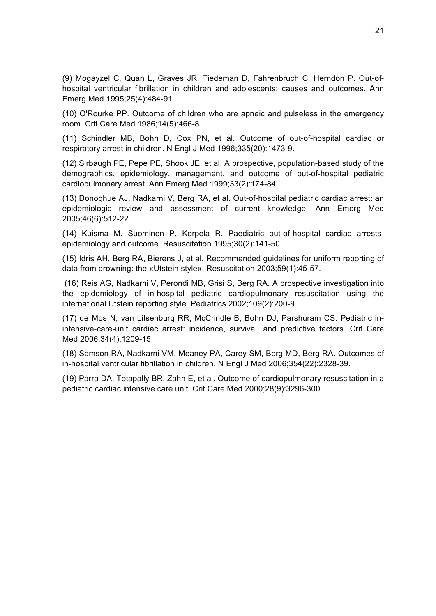(9) Mogayzel C, Quan L, Graves JR, Tiedeman D, Fahrenbruch C, Herndon P. Out-ofhospital ventricular fibrillation in children and adolescents: causes and outcomes. Ann Emerg Med 1995;25(4):484-91.

(10) O'Rourke PP. Outcome of children who are apneic and pulseless in the emergency room. Crit Care Med 1986;14(5):466-8.

(11) Schindler MB, Bohn D, Cox PN, et al. Outcome of out-of-hospital cardiac or respiratory arrest in children. N Engl J Med 1996;335(20):1473-9.

(12) Sirbaugh PE, Pepe PE, Shook JE, et al. A prospective, population-based study of the demographics, epidemiology, management, and outcome of out-of-hospital pediatric cardiopulmonary arrest. Ann Emerg Med 1999;33(2):174-84.

(13) Donoghue AJ, Nadkarni V, Berg RA, et al. Out-of-hospital pediatric cardiac arrest: an epidemiologic review and assessment of current knowledge. Ann Emerg Med 2005;46(6):512-22.

(14) Kuisma M, Suominen P, Korpela R. Paediatric out-of-hospital cardiac arrestsepidemiology and outcome. Resuscitation 1995;30(2):141-50.

(15) Idris AH, Berg RA, Bierens J, et al. Recommended guidelines for uniform reporting of data from drowning: the «Utstein style». Resuscitation 2003;59(1):45-57.

 (16) Reis AG, Nadkarni V, Perondi MB, Grisi S, Berg RA. A prospective investigation into the epidemiology of in-hospital pediatric cardiopulmonary resuscitation using the international Utstein reporting style. Pediatrics 2002;109(2):200-9.

(17) de Mos N, van Litsenburg RR, McCrindle B, Bohn DJ, Parshuram CS. Pediatric inintensive-care-unit cardiac arrest: incidence, survival, and predictive factors. Crit Care Med 2006;34(4):1209-15.

(18) Samson RA, Nadkarni VM, Meaney PA, Carey SM, Berg MD, Berg RA. Outcomes of in-hospital ventricular fibrillation in children. N Engl J Med 2006;354(22):2328-39.

(19) Parra DA, Totapally BR, Zahn E, et al. Outcome of cardiopulmonary resuscitation in a pediatric cardiac intensive care unit. Crit Care Med 2000;28(9):3296-300.